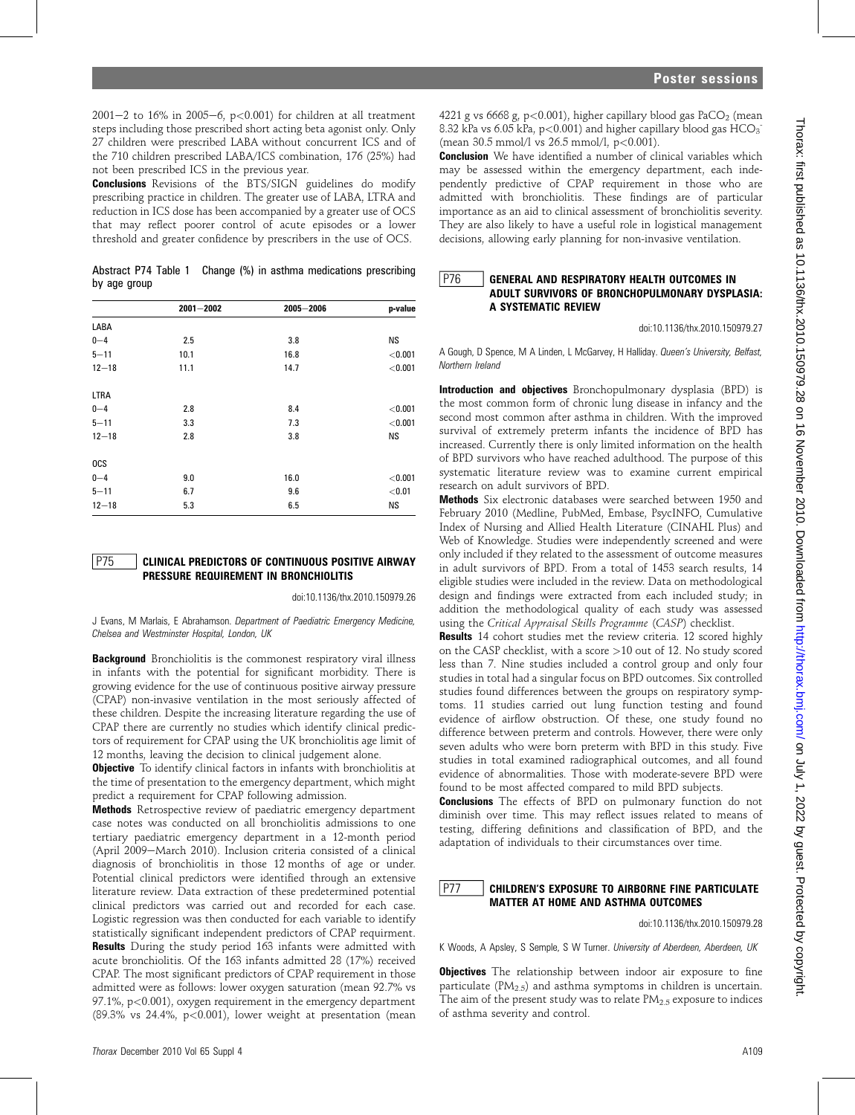2001-2 to 16% in 2005-6, p<0.001) for children at all treatment steps including those prescribed short acting beta agonist only. Only 27 children were prescribed LABA without concurrent ICS and of the 710 children prescribed LABA/ICS combination, 176 (25%) had not been prescribed ICS in the previous year.

Conclusions Revisions of the BTS/SIGN guidelines do modify prescribing practice in children. The greater use of LABA, LTRA and reduction in ICS dose has been accompanied by a greater use of OCS that may reflect poorer control of acute episodes or a lower threshold and greater confidence by prescribers in the use of OCS.

| Abstract P74 Table 1 Change (%) in asthma medications prescribing |  |  |  |
|-------------------------------------------------------------------|--|--|--|
| by age group                                                      |  |  |  |

|            | $2001 - 2002$ | 2005-2006 | p-value   |
|------------|---------------|-----------|-----------|
| LABA       |               |           |           |
| $0 - 4$    | 2.5           | 3.8       | <b>NS</b> |
| $5 - 11$   | 10.1          | 16.8      | < 0.001   |
| $12 - 18$  | 11.1          | 14.7      | < 0.001   |
| LTRA       |               |           |           |
| $0 - 4$    | 2.8           | 8.4       | < 0.001   |
| $5 - 11$   | 3.3           | 7.3       | < 0.001   |
| $12 - 18$  | 2.8           | 3.8       | <b>NS</b> |
| <b>OCS</b> |               |           |           |
| $0 - 4$    | 9.0           | 16.0      | < 0.001   |
| $5 - 11$   | 6.7           | 9.6       | < 0.01    |
| $12 - 18$  | 5.3           | 6.5       | <b>NS</b> |

#### P75 | CLINICAL PREDICTORS OF CONTINUOUS POSITIVE AIRWAY PRESSURE REQUIREMENT IN BRONCHIOLITIS

doi:10.1136/thx.2010.150979.26

J Evans, M Marlais, E Abrahamson. Department of Paediatric Emergency Medicine, Chelsea and Westminster Hospital, London, UK

Background Bronchiolitis is the commonest respiratory viral illness in infants with the potential for significant morbidity. There is growing evidence for the use of continuous positive airway pressure (CPAP) non-invasive ventilation in the most seriously affected of these children. Despite the increasing literature regarding the use of CPAP there are currently no studies which identify clinical predictors of requirement for CPAP using the UK bronchiolitis age limit of 12 months, leaving the decision to clinical judgement alone.

**Objective** To identify clinical factors in infants with bronchiolitis at the time of presentation to the emergency department, which might predict a requirement for CPAP following admission.

Methods Retrospective review of paediatric emergency department case notes was conducted on all bronchiolitis admissions to one tertiary paediatric emergency department in a 12-month period (April 2009 $-$ March 2010). Inclusion criteria consisted of a clinical diagnosis of bronchiolitis in those 12 months of age or under. Potential clinical predictors were identified through an extensive literature review. Data extraction of these predetermined potential clinical predictors was carried out and recorded for each case. Logistic regression was then conducted for each variable to identify statistically significant independent predictors of CPAP requirment. Results During the study period 163 infants were admitted with acute bronchiolitis. Of the 163 infants admitted 28 (17%) received CPAP. The most significant predictors of CPAP requirement in those admitted were as follows: lower oxygen saturation (mean 92.7% vs 97.1%, p<0.001), oxygen requirement in the emergency department  $(89.3\%$  vs  $24.4\%$ ,  $p<0.001$ ), lower weight at presentation (mean

**Conclusion** We have identified a number of clinical variables which may be assessed within the emergency department, each independently predictive of CPAP requirement in those who are admitted with bronchiolitis. These findings are of particular importance as an aid to clinical assessment of bronchiolitis severity. They are also likely to have a useful role in logistical management decisions, allowing early planning for non-invasive ventilation.

## **P76 GENERAL AND RESPIRATORY HEALTH OUTCOMES IN** ADULT SURVIVORS OF BRONCHOPULMONARY DYSPLASIA: A SYSTEMATIC REVIEW

doi:10.1136/thx.2010.150979.27

A Gough, D Spence, M A Linden, L McGarvey, H Halliday. Queen's University, Belfast, Northern Ireland

Introduction and objectives Bronchopulmonary dysplasia (BPD) is the most common form of chronic lung disease in infancy and the second most common after asthma in children. With the improved survival of extremely preterm infants the incidence of BPD has increased. Currently there is only limited information on the health of BPD survivors who have reached adulthood. The purpose of this systematic literature review was to examine current empirical research on adult survivors of BPD.

Methods Six electronic databases were searched between 1950 and February 2010 (Medline, PubMed, Embase, PsycINFO, Cumulative Index of Nursing and Allied Health Literature (CINAHL Plus) and Web of Knowledge. Studies were independently screened and were only included if they related to the assessment of outcome measures in adult survivors of BPD. From a total of 1453 search results, 14 eligible studies were included in the review. Data on methodological design and findings were extracted from each included study; in addition the methodological quality of each study was assessed using the Critical Appraisal Skills Programme (CASP) checklist.

Results 14 cohort studies met the review criteria. 12 scored highly on the CASP checklist, with a score >10 out of 12. No study scored less than 7. Nine studies included a control group and only four studies in total had a singular focus on BPD outcomes. Six controlled studies found differences between the groups on respiratory symptoms. 11 studies carried out lung function testing and found evidence of airflow obstruction. Of these, one study found no difference between preterm and controls. However, there were only seven adults who were born preterm with BPD in this study. Five studies in total examined radiographical outcomes, and all found evidence of abnormalities. Those with moderate-severe BPD were found to be most affected compared to mild BPD subjects.

Conclusions The effects of BPD on pulmonary function do not diminish over time. This may reflect issues related to means of testing, differing definitions and classification of BPD, and the adaptation of individuals to their circumstances over time.

# P77 CHILDREN'S EXPOSURE TO AIRBORNE FINE PARTICULATE MATTER AT HOME AND ASTHMA OUTCOMES

doi:10.1136/thx.2010.150979.28

K Woods, A Apsley, S Semple, S W Turner. University of Aberdeen, Aberdeen, UK

**Objectives** The relationship between indoor air exposure to fine particulate  $(PM<sub>2.5</sub>)$  and asthma symptoms in children is uncertain. The aim of the present study was to relate  $PM_{2.5}$  exposure to indices of asthma severity and control.